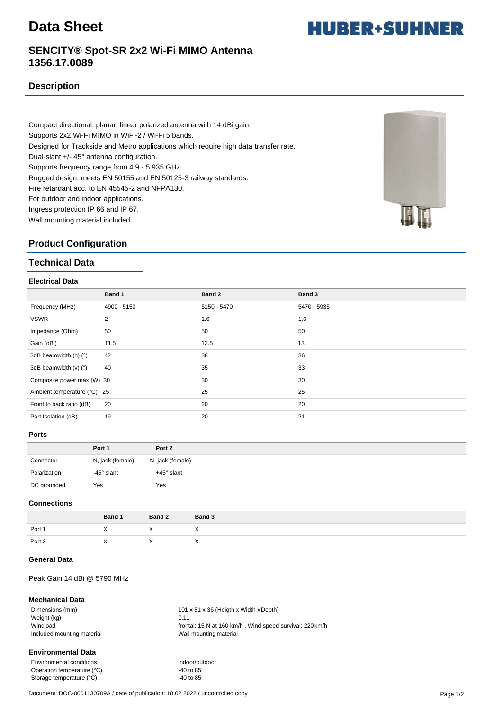# **Data Sheet**

**HUBER+SUHNER** 

# **SENCITY® Spot-SR 2x2 Wi-Fi MIMO Antenna 1356.17.0089**

## **Description**

Compact directional, planar, linear polarized antenna with 14 dBi gain. Supports 2x2 Wi-Fi MIMO in WiFi-2 / Wi-Fi 5 bands. Designed for Trackside and Metro applications which require high data transfer rate. Dual-slant +/- 45° antenna configuration. Supports frequency range from 4.9 - 5.935 GHz. Rugged design, meets EN 50155 and EN 50125-3 railway standards. Fire retardant acc. to EN 45545-2 and NFPA130. For outdoor and indoor applications. Ingress protection IP 66 and IP 67. Wall mounting material included.



## **Product Configuration**

## **Technical Data**

#### **Electrical Data**

|                             | Band 1         | Band 2      | Band 3      |
|-----------------------------|----------------|-------------|-------------|
| Frequency (MHz)             | 4900 - 5150    | 5150 - 5470 | 5470 - 5935 |
| <b>VSWR</b>                 | $\overline{2}$ | 1.6         | 1.6         |
| Impedance (Ohm)             | 50             | 50          | 50          |
| Gain (dBi)                  | 11.5           | 12.5        | 13          |
| 3dB beamwidth (h) (°)       | 42             | 38          | 36          |
| 3dB beamwidth $(v)$ $(°)$   | 40             | 35          | 33          |
| Composite power max (W) 30  |                | 30          | 30          |
| Ambient temperature (°C) 25 |                | 25          | 25          |
| Front to back ratio (dB)    | 20             | 20          | 20          |
| Port Isolation (dB)         | 19             | 20          | 21          |
|                             |                |             |             |

#### **Ports**

|              | Port 1           | Port 2           |
|--------------|------------------|------------------|
| Connector    | N, jack (female) | N, jack (female) |
| Polarization | -45° slant       | +45° slant       |
| DC grounded  | Yes              | Yes              |

## **Connections**

|        | Band 1   | <b>Band 2</b> | Band 3   |
|--------|----------|---------------|----------|
| Port 1 |          |               |          |
| Port 2 | $\cdots$ | $\lambda$     | $\wedge$ |

## **General Data**

## Peak Gain 14 dBi @ 5790 MHz

## **Mechanical Data**

Weight (kg) 0.11 Included mounting material **National Contract Contract Contract Contract Contract Contract Contract Contract Contract Contract Contract Contract Contract Contract Contract Contract Contract Contract Contract Contract Contr** 

Dimensions (mm) 101 x 81 x 36 (Heigth x Width x Depth) Windload Windload **frontal: 15 N at 160 km/h**, Wind speed survival: 220 km/h

## **Environmental Data**

Environmental conditions<br>
Operation temperature (°C) 40 to 85 Operation temperature (°C) Storage temperature (°C) 40 to 85